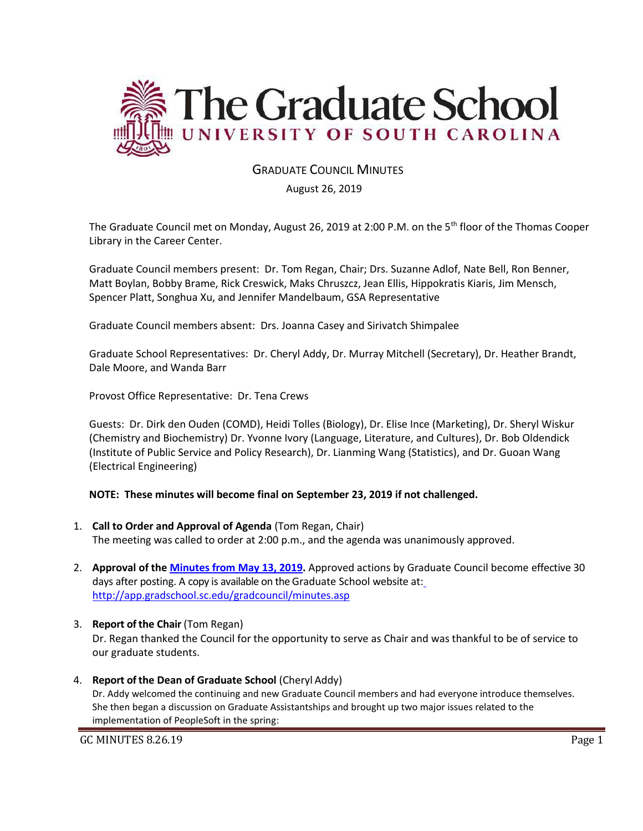

# GRADUATE COUNCIL MINUTES

#### August 26, 2019

The Graduate Council met on Monday, August 26, 2019 at 2:00 P.M. on the 5th floor of the Thomas Cooper Library in the Career Center.

Graduate Council members present: Dr. Tom Regan, Chair; Drs. Suzanne Adlof, Nate Bell, Ron Benner, Matt Boylan, Bobby Brame, Rick Creswick, Maks Chruszcz, Jean Ellis, Hippokratis Kiaris, Jim Mensch, Spencer Platt, Songhua Xu, and Jennifer Mandelbaum, GSA Representative

Graduate Council members absent: Drs. Joanna Casey and Sirivatch Shimpalee

Graduate School Representatives: Dr. Cheryl Addy, Dr. Murray Mitchell (Secretary), Dr. Heather Brandt, Dale Moore, and Wanda Barr

Provost Office Representative: Dr. Tena Crews

Guests: Dr. Dirk den Ouden (COMD), Heidi Tolles (Biology), Dr. Elise Ince (Marketing), Dr. Sheryl Wiskur (Chemistry and Biochemistry) Dr. Yvonne Ivory (Language, Literature, and Cultures), Dr. Bob Oldendick (Institute of Public Service and Policy Research), Dr. Lianming Wang (Statistics), and Dr. Guoan Wang (Electrical Engineering)

#### **NOTE: These minutes will become final on September 23, 2019 if not challenged.**

- 1. **Call to Order and Approval of Agenda** (Tom Regan, Chair) The meeting was called to order at 2:00 p.m., and the agenda was unanimously approved.
- 2. **Approval of the [Minutes from May 13, 2019.](file:///C:/Users/wandab/Local%20Documents/Graduate%20Council/GCMINUTESMAY132019%20MM.pdf)** Approved actions by Graduate Council become effective 30 days after posting. A copy is available on the Graduate School website at[:](http://app.gradschool.sc.edu/gradcouncil/minutes.asp) <http://app.gradschool.sc.edu/gradcouncil/minutes.asp>
- 3. **Report of the Chair** (Tom Regan) Dr. Regan thanked the Council for the opportunity to serve as Chair and was thankful to be of service to our graduate students.
- 4. **Report of the Dean of Graduate School** (Cheryl Addy) Dr. Addy welcomed the continuing and new Graduate Council members and had everyone introduce themselves. She then began a discussion on Graduate Assistantships and brought up two major issues related to the implementation of PeopleSoft in the spring:

GC MINUTES 8.26.19 Page 1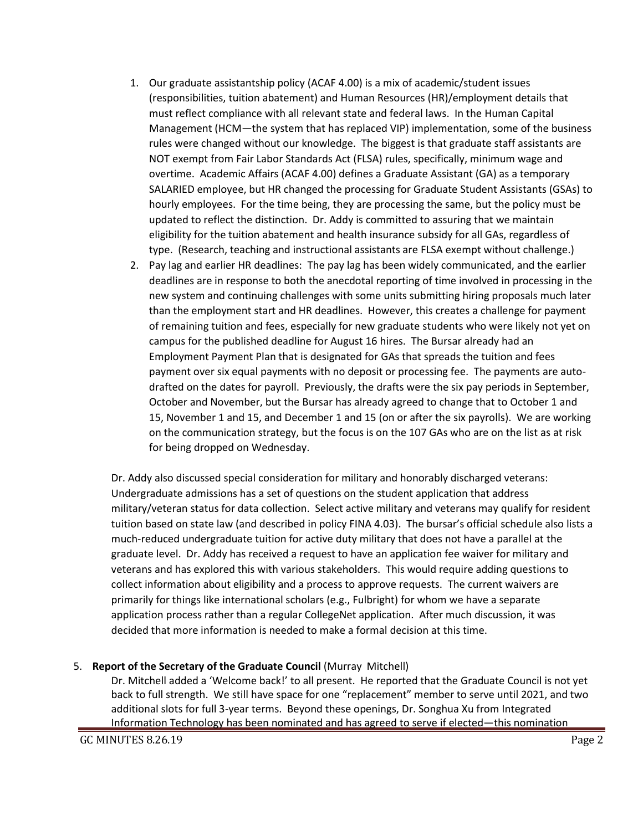- 1. Our graduate assistantship policy (ACAF 4.00) is a mix of academic/student issues (responsibilities, tuition abatement) and Human Resources (HR)/employment details that must reflect compliance with all relevant state and federal laws. In the Human Capital Management (HCM—the system that has replaced VIP) implementation, some of the business rules were changed without our knowledge. The biggest is that graduate staff assistants are NOT exempt from Fair Labor Standards Act (FLSA) rules, specifically, minimum wage and overtime. Academic Affairs (ACAF 4.00) defines a Graduate Assistant (GA) as a temporary SALARIED employee, but HR changed the processing for Graduate Student Assistants (GSAs) to hourly employees. For the time being, they are processing the same, but the policy must be updated to reflect the distinction. Dr. Addy is committed to assuring that we maintain eligibility for the tuition abatement and health insurance subsidy for all GAs, regardless of type. (Research, teaching and instructional assistants are FLSA exempt without challenge.)
- 2. Pay lag and earlier HR deadlines: The pay lag has been widely communicated, and the earlier deadlines are in response to both the anecdotal reporting of time involved in processing in the new system and continuing challenges with some units submitting hiring proposals much later than the employment start and HR deadlines. However, this creates a challenge for payment of remaining tuition and fees, especially for new graduate students who were likely not yet on campus for the published deadline for August 16 hires. The Bursar already had an Employment Payment Plan that is designated for GAs that spreads the tuition and fees payment over six equal payments with no deposit or processing fee. The payments are autodrafted on the dates for payroll. Previously, the drafts were the six pay periods in September, October and November, but the Bursar has already agreed to change that to October 1 and 15, November 1 and 15, and December 1 and 15 (on or after the six payrolls). We are working on the communication strategy, but the focus is on the 107 GAs who are on the list as at risk for being dropped on Wednesday.

Dr. Addy also discussed special consideration for military and honorably discharged veterans: Undergraduate admissions has a set of questions on the student application that address military/veteran status for data collection. Select active military and veterans may qualify for resident tuition based on state law (and described in policy FINA 4.03). The bursar's official schedule also lists a much-reduced undergraduate tuition for active duty military that does not have a parallel at the graduate level. Dr. Addy has received a request to have an application fee waiver for military and veterans and has explored this with various stakeholders. This would require adding questions to collect information about eligibility and a process to approve requests. The current waivers are primarily for things like international scholars (e.g., Fulbright) for whom we have a separate application process rather than a regular CollegeNet application. After much discussion, it was decided that more information is needed to make a formal decision at this time.

#### 5. **Report of the Secretary of the Graduate Council** (Murray Mitchell)

Dr. Mitchell added a 'Welcome back!' to all present. He reported that the Graduate Council is not yet back to full strength. We still have space for one "replacement" member to serve until 2021, and two additional slots for full 3-year terms. Beyond these openings, Dr. Songhua Xu from Integrated Information Technology has been nominated and has agreed to serve if elected—this nomination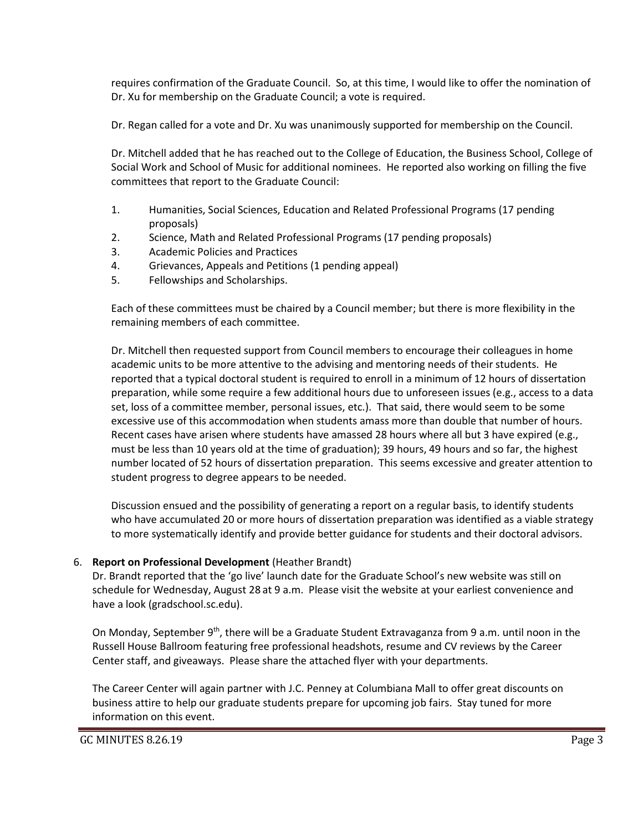requires confirmation of the Graduate Council. So, at this time, I would like to offer the nomination of Dr. Xu for membership on the Graduate Council; a vote is required.

Dr. Regan called for a vote and Dr. Xu was unanimously supported for membership on the Council.

Dr. Mitchell added that he has reached out to the College of Education, the Business School, College of Social Work and School of Music for additional nominees. He reported also working on filling the five committees that report to the Graduate Council:

- 1. Humanities, Social Sciences, Education and Related Professional Programs (17 pending proposals)
- 2. Science, Math and Related Professional Programs (17 pending proposals)
- 3. Academic Policies and Practices
- 4. Grievances, Appeals and Petitions (1 pending appeal)
- 5. Fellowships and Scholarships.

Each of these committees must be chaired by a Council member; but there is more flexibility in the remaining members of each committee.

Dr. Mitchell then requested support from Council members to encourage their colleagues in home academic units to be more attentive to the advising and mentoring needs of their students. He reported that a typical doctoral student is required to enroll in a minimum of 12 hours of dissertation preparation, while some require a few additional hours due to unforeseen issues (e.g., access to a data set, loss of a committee member, personal issues, etc.). That said, there would seem to be some excessive use of this accommodation when students amass more than double that number of hours. Recent cases have arisen where students have amassed 28 hours where all but 3 have expired (e.g., must be less than 10 years old at the time of graduation); 39 hours, 49 hours and so far, the highest number located of 52 hours of dissertation preparation. This seems excessive and greater attention to student progress to degree appears to be needed.

Discussion ensued and the possibility of generating a report on a regular basis, to identify students who have accumulated 20 or more hours of dissertation preparation was identified as a viable strategy to more systematically identify and provide better guidance for students and their doctoral advisors.

## 6. **Report on Professional Development** (Heather Brandt)

Dr. Brandt reported that the 'go live' launch date for the Graduate School's new website was still on schedule for Wednesday, August 28 at 9 a.m. Please visit the website at your earliest convenience and have a look (gradschool.sc.edu).

On Monday, September 9<sup>th</sup>, there will be a Graduate Student Extravaganza from 9 a.m. until noon in the Russell House Ballroom featuring free professional headshots, resume and CV reviews by the Career Center staff, and giveaways. Please share the attached flyer with your departments.

The Career Center will again partner with J.C. Penney at Columbiana Mall to offer great discounts on business attire to help our graduate students prepare for upcoming job fairs. Stay tuned for more information on this event.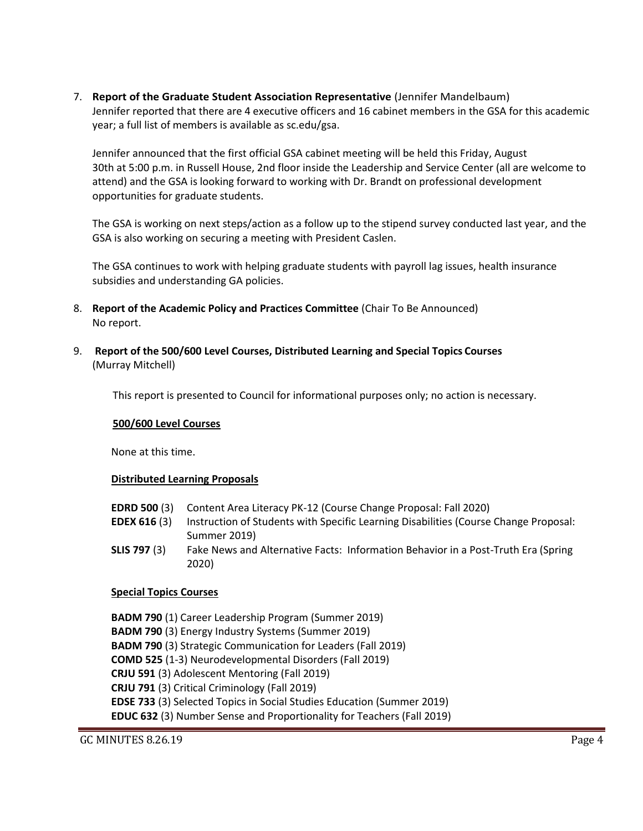7. **Report of the Graduate Student Association Representative** (Jennifer Mandelbaum) Jennifer reported that there are 4 executive officers and 16 cabinet members in the GSA for this academic year; a full list of members is available as sc.edu/gsa.

Jennifer announced that the first official GSA cabinet meeting will be held this Friday, August 30th at 5:00 p.m. in Russell House, 2nd floor inside the Leadership and Service Center (all are welcome to attend) and the GSA is looking forward to working with Dr. Brandt on professional development opportunities for graduate students.

The GSA is working on next steps/action as a follow up to the stipend survey conducted last year, and the GSA is also working on securing a meeting with President Caslen.

The GSA continues to work with helping graduate students with payroll lag issues, health insurance subsidies and understanding GA policies.

- 8. **Report of the Academic Policy and Practices Committee** (Chair To Be Announced) No report.
- 9. **Report of the 500/600 Level Courses, Distributed Learning and Special Topics Courses** (Murray Mitchell)

This report is presented to Council for informational purposes only; no action is necessary.

#### **500/600 Level Courses**

None at this time.

#### **Distributed Learning Proposals**

- **EDRD 500** (3) Content Area Literacy PK-12 (Course Change Proposal: Fall 2020)
- **EDEX 616** (3) Instruction of Students with Specific Learning Disabilities (Course Change Proposal: Summer 2019)
- **SLIS 797** (3) Fake News and Alternative Facts: Information Behavior in a Post-Truth Era (Spring 2020)

#### **Special Topics Courses**

**BADM 790** (1) Career Leadership Program (Summer 2019) **BADM 790** (3) Energy Industry Systems (Summer 2019) **BADM 790** (3) Strategic Communication for Leaders (Fall 2019) **COMD 525** (1-3) Neurodevelopmental Disorders (Fall 2019) **CRJU 591** (3) Adolescent Mentoring (Fall 2019) **CRJU 791** (3) Critical Criminology (Fall 2019) **EDSE 733** (3) Selected Topics in Social Studies Education (Summer 2019) **EDUC 632** (3) Number Sense and Proportionality for Teachers (Fall 2019)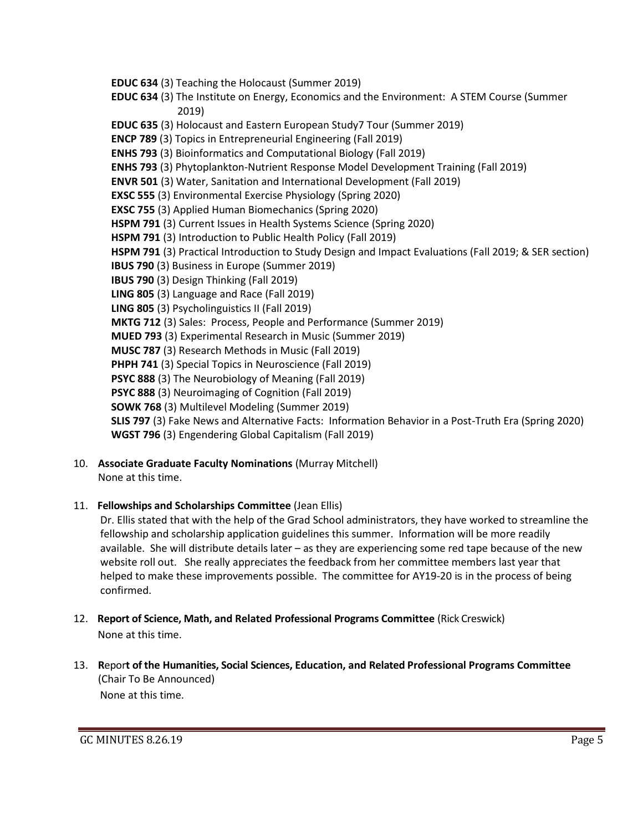- **EDUC 634** (3) Teaching the Holocaust (Summer 2019)
- **EDUC 634** (3) The Institute on Energy, Economics and the Environment: A STEM Course (Summer 2019)
- **EDUC 635** (3) Holocaust and Eastern European Study7 Tour (Summer 2019)
- **ENCP 789** (3) Topics in Entrepreneurial Engineering (Fall 2019)
- **ENHS 793** (3) Bioinformatics and Computational Biology (Fall 2019)
- **ENHS 793** (3) Phytoplankton-Nutrient Response Model Development Training (Fall 2019)
- **ENVR 501** (3) Water, Sanitation and International Development (Fall 2019)
- **EXSC 555** (3) Environmental Exercise Physiology (Spring 2020)
- **EXSC 755** (3) Applied Human Biomechanics (Spring 2020)
- **HSPM 791** (3) Current Issues in Health Systems Science (Spring 2020)
- **HSPM 791** (3) Introduction to Public Health Policy (Fall 2019)
- **HSPM 791** (3) Practical Introduction to Study Design and Impact Evaluations (Fall 2019; & SER section)
- **IBUS 790** (3) Business in Europe (Summer 2019)
- **IBUS 790** (3) Design Thinking (Fall 2019)
- **LING 805** (3) Language and Race (Fall 2019)
- **LING 805** (3) Psycholinguistics II (Fall 2019)
- **MKTG 712** (3) Sales: Process, People and Performance (Summer 2019)
- **MUED 793** (3) Experimental Research in Music (Summer 2019)
- **MUSC 787** (3) Research Methods in Music (Fall 2019)
- **PHPH 741** (3) Special Topics in Neuroscience (Fall 2019)
- **PSYC 888** (3) The Neurobiology of Meaning (Fall 2019)
- **PSYC 888** (3) Neuroimaging of Cognition (Fall 2019)
- **SOWK 768** (3) Multilevel Modeling (Summer 2019)

**SLIS 797** (3) Fake News and Alternative Facts: Information Behavior in a Post-Truth Era (Spring 2020) **WGST 796** (3) Engendering Global Capitalism (Fall 2019)

10. **Associate Graduate Faculty Nominations** (Murray Mitchell) None at this time.

## 11. **Fellowships and Scholarships Committee** (Jean Ellis)

Dr. Ellis stated that with the help of the Grad School administrators, they have worked to streamline the fellowship and scholarship application guidelines this summer. Information will be more readily available. She will distribute details later – as they are experiencing some red tape because of the new website roll out. She really appreciates the feedback from her committee members last year that helped to make these improvements possible. The committee for AY19-20 is in the process of being confirmed.

- 12. **Report of Science, Math, and Related Professional Programs Committee** (Rick Creswick) None at this time.
- 13. **R**epor**t of the Humanities, Social Sciences, Education, and Related Professional Programs Committee**  (Chair To Be Announced) None at this time.